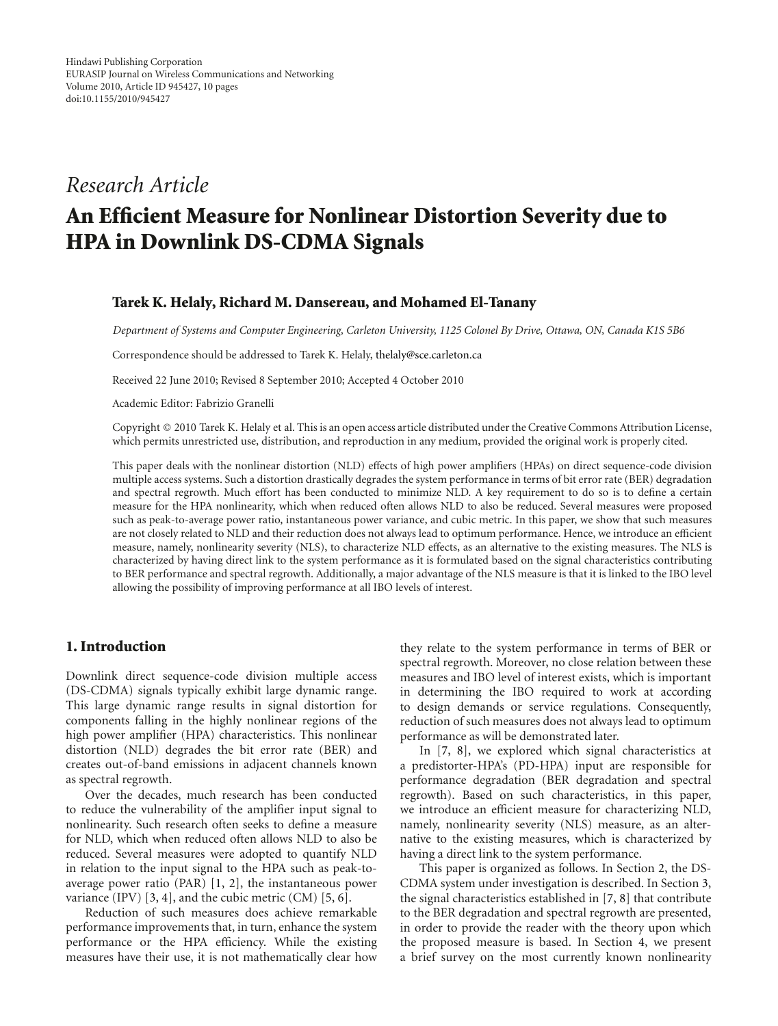# *Research Article*

# **An Efficient Measure for Nonlinear Distortion Severity due to HPA in Downlink DS-CDMA Signals**

# **Tarek K. Helaly, Richard M. Dansereau, and Mohamed El-Tanany**

*Department of Systems and Computer Engineering, Carleton University, 1125 Colonel By Drive, Ottawa, ON, Canada K1S 5B6*

Correspondence should be addressed to Tarek K. Helaly, thelaly@sce.carleton.ca

Received 22 June 2010; Revised 8 September 2010; Accepted 4 October 2010

Academic Editor: Fabrizio Granelli

Copyright © 2010 Tarek K. Helaly et al. This is an open access article distributed under the Creative Commons Attribution License, which permits unrestricted use, distribution, and reproduction in any medium, provided the original work is properly cited.

This paper deals with the nonlinear distortion (NLD) effects of high power amplifiers (HPAs) on direct sequence-code division multiple access systems. Such a distortion drastically degrades the system performance in terms of bit error rate (BER) degradation and spectral regrowth. Much effort has been conducted to minimize NLD. A key requirement to do so is to define a certain measure for the HPA nonlinearity, which when reduced often allows NLD to also be reduced. Several measures were proposed such as peak-to-average power ratio, instantaneous power variance, and cubic metric. In this paper, we show that such measures are not closely related to NLD and their reduction does not always lead to optimum performance. Hence, we introduce an efficient measure, namely, nonlinearity severity (NLS), to characterize NLD effects, as an alternative to the existing measures. The NLS is characterized by having direct link to the system performance as it is formulated based on the signal characteristics contributing to BER performance and spectral regrowth. Additionally, a major advantage of the NLS measure is that it is linked to the IBO level allowing the possibility of improving performance at all IBO levels of interest.

# **1. Introduction**

Downlink direct sequence-code division multiple access (DS-CDMA) signals typically exhibit large dynamic range. This large dynamic range results in signal distortion for components falling in the highly nonlinear regions of the high power amplifier (HPA) characteristics. This nonlinear distortion (NLD) degrades the bit error rate (BER) and creates out-of-band emissions in adjacent channels known as spectral regrowth.

Over the decades, much research has been conducted to reduce the vulnerability of the amplifier input signal to nonlinearity. Such research often seeks to define a measure for NLD, which when reduced often allows NLD to also be reduced. Several measures were adopted to quantify NLD in relation to the input signal to the HPA such as peak-toaverage power ratio (PAR) [1, 2], the instantaneous power variance (IPV) [3, 4], and the cubic metric (CM) [5, 6].

Reduction of such measures does achieve remarkable performance improvements that, in turn, enhance the system performance or the HPA efficiency. While the existing measures have their use, it is not mathematically clear how

they relate to the system performance in terms of BER or spectral regrowth. Moreover, no close relation between these measures and IBO level of interest exists, which is important in determining the IBO required to work at according to design demands or service regulations. Consequently, reduction of such measures does not always lead to optimum performance as will be demonstrated later.

In [7, 8], we explored which signal characteristics at a predistorter-HPA's (PD-HPA) input are responsible for performance degradation (BER degradation and spectral regrowth). Based on such characteristics, in this paper, we introduce an efficient measure for characterizing NLD, namely, nonlinearity severity (NLS) measure, as an alternative to the existing measures, which is characterized by having a direct link to the system performance.

This paper is organized as follows. In Section 2, the DS-CDMA system under investigation is described. In Section 3, the signal characteristics established in [7, 8] that contribute to the BER degradation and spectral regrowth are presented, in order to provide the reader with the theory upon which the proposed measure is based. In Section 4, we present a brief survey on the most currently known nonlinearity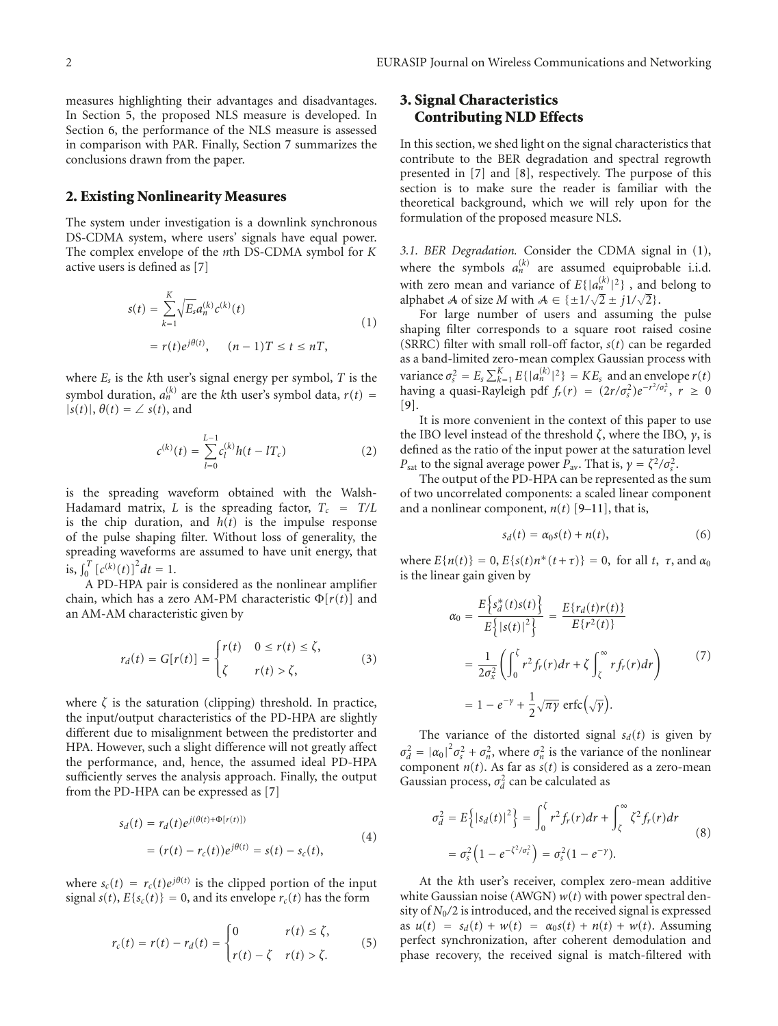measures highlighting their advantages and disadvantages. In Section 5, the proposed NLS measure is developed. In Section 6, the performance of the NLS measure is assessed in comparison with PAR. Finally, Section 7 summarizes the conclusions drawn from the paper.

### **2. Existing Nonlinearity Measures**

The system under investigation is a downlink synchronous DS-CDMA system, where users' signals have equal power. The complex envelope of the *n*th DS-CDMA symbol for *K* active users is defined as [7]

$$
s(t) = \sum_{k=1}^{K} \sqrt{E_s} a_n^{(k)} c^{(k)}(t)
$$
  
=  $r(t) e^{j\theta(t)}$ ,  $(n-1)T \le t \le nT$ , (1)

where *Es* is the *k*th user's signal energy per symbol, *T* is the symbol duration,  $a_n^{(k)}$  are the *k*th user's symbol data,  $r(t)$  =  $|s(t)|$ ,  $\theta(t) = \angle s(t)$ , and

$$
c^{(k)}(t) = \sum_{l=0}^{L-1} c_l^{(k)} h(t - lT_c)
$$
 (2)

is the spreading waveform obtained with the Walsh-Hadamard matrix, *L* is the spreading factor,  $T_c = T/L$ is the chip duration, and  $h(t)$  is the impulse response of the pulse shaping filter. Without loss of generality, the spreading waveforms are assumed to have unit energy, that is,  $\int_0^T [c^{(k)}(t)]^2 dt = 1$ .

A PD-HPA pair is considered as the nonlinear amplifier chain, which has a zero AM-PM characteristic Φ[*r*(*t*)] and an AM-AM characteristic given by

$$
r_d(t) = G[r(t)] = \begin{cases} r(t) & 0 \le r(t) \le \zeta, \\ \zeta & r(t) > \zeta, \end{cases}
$$
 (3)

where  $\zeta$  is the saturation (clipping) threshold. In practice, the input/output characteristics of the PD-HPA are slightly different due to misalignment between the predistorter and HPA. However, such a slight difference will not greatly affect the performance, and, hence, the assumed ideal PD-HPA sufficiently serves the analysis approach. Finally, the output from the PD-HPA can be expressed as [7]

$$
s_d(t) = r_d(t)e^{j(\theta(t) + \Phi[r(t)])}
$$
  
= 
$$
(r(t) - r_c(t))e^{j\theta(t)} = s(t) - s_c(t),
$$
 (4)

where  $s_c(t) = r_c(t)e^{j\theta(t)}$  is the clipped portion of the input signal  $s(t)$ ,  $E{s_c(t)} = 0$ , and its envelope  $r_c(t)$  has the form

$$
r_c(t) = r(t) - r_d(t) = \begin{cases} 0 & r(t) \le \zeta, \\ r(t) - \zeta & r(t) > \zeta. \end{cases}
$$
 (5)

# **3. Signal Characteristics Contributing NLD Effects**

In this section, we shed light on the signal characteristics that contribute to the BER degradation and spectral regrowth presented in [7] and [8], respectively. The purpose of this section is to make sure the reader is familiar with the theoretical background, which we will rely upon for the formulation of the proposed measure NLS.

*3.1. BER Degradation.* Consider the CDMA signal in (1), where the symbols  $a_n^{(k)}$  are assumed equiprobable i.i.d. with zero mean and variance of  $E\{|a_n^{(k)}|^2\}$ , and belong to alphabet A of size *M* with  $A \in \{\pm 1/\sqrt{2} \pm j1/\sqrt{2}\}.$ 

For large number of users and assuming the pulse shaping filter corresponds to a square root raised cosine (SRRC) filter with small roll-off factor, *s*(*t*) can be regarded as a band-limited zero-mean complex Gaussian process with variance  $\sigma_s^2 = E_s \sum_{k=1}^K E\{|a_n^{(k)}|^2\} = KE_s$  and an envelope  $r(t)$ having a quasi-Rayleigh pdf  $f_r(r) = (2r/\sigma_s^2)e^{-r^2/\sigma_s^2}$ ,  $r \ge 0$ [9].

It is more convenient in the context of this paper to use the IBO level instead of the threshold *ζ*, where the IBO, *γ*, is defined as the ratio of the input power at the saturation level *P*<sub>sat</sub> to the signal average power  $P_{\text{av}}$ . That is,  $\gamma = \zeta^2/\sigma_s^2$ .

The output of the PD-HPA can be represented as the sum of two uncorrelated components: a scaled linear component and a nonlinear component,  $n(t)$  [9–11], that is,

$$
s_d(t) = \alpha_0 s(t) + n(t), \qquad (6)
$$

where  $E\{n(t)\} = 0, E\{s(t)n^*(t+\tau)\} = 0$ , for all *t*,  $\tau$ , and  $\alpha_0$ is the linear gain given by

$$
\alpha_0 = \frac{E\left\{s_d^*(t)s(t)\right\}}{E\left\{|s(t)|^2\right\}} = \frac{E\{r_d(t)r(t)\}}{E\{r^2(t)\}}
$$

$$
= \frac{1}{2\sigma_x^2} \left(\int_0^\zeta r^2 f_r(r) dr + \zeta \int_\zeta^\infty r f_r(r) dr\right) \tag{7}
$$

$$
= 1 - e^{-\gamma} + \frac{1}{2} \sqrt{\pi \gamma} \operatorname{erfc}\left(\sqrt{\gamma}\right).
$$

The variance of the distorted signal  $s_d(t)$  is given by  $\sigma_d^2 = |\alpha_0|^2 \sigma_s^2 + \sigma_n^2$ , where  $\sigma_n^2$  is the variance of the nonlinear component  $n(t)$ . As far as  $s(t)$  is considered as a zero-mean Gaussian process,  $\sigma_d^2$  can be calculated as

$$
\sigma_d^2 = E\left\{|s_d(t)|^2\right\} = \int_0^{\zeta} r^2 f_r(r) dr + \int_{\zeta}^{\infty} \zeta^2 f_r(r) dr
$$
\n
$$
= \sigma_s^2 \left(1 - e^{-\zeta^2/\sigma_s^2}\right) = \sigma_s^2 (1 - e^{-\gamma}).
$$
\n(8)

At the *k*th user's receiver, complex zero-mean additive white Gaussian noise (AWGN) *w*(*t*) with power spectral density of *N*0*/*2 is introduced, and the received signal is expressed as  $u(t) = s_d(t) + w(t) = \alpha_0 s(t) + n(t) + w(t)$ . Assuming perfect synchronization, after coherent demodulation and phase recovery, the received signal is match-filtered with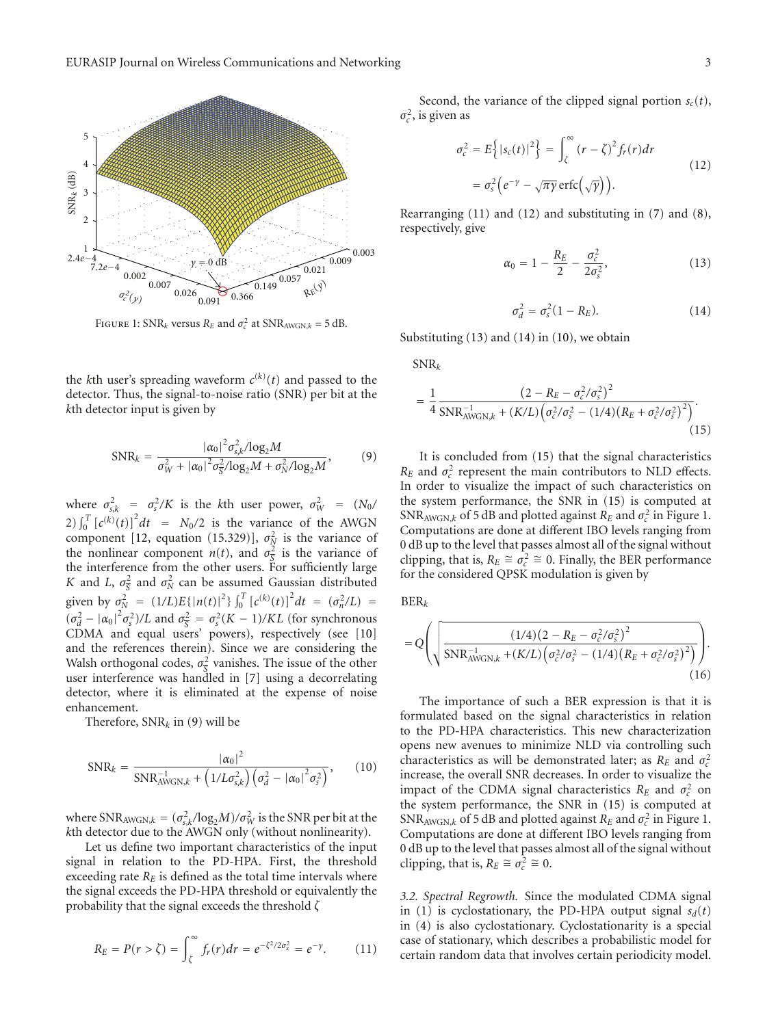

FIGURE 1: SNR<sub>k</sub> versus  $R_E$  and  $\sigma_c^2$  at SNR<sub>AWGN,k</sub> = 5 dB.

the *k*th user's spreading waveform  $c^{(k)}(t)$  and passed to the detector. Thus, the signal-to-noise ratio (SNR) per bit at the *k*th detector input is given by

$$
SNR_k = \frac{|\alpha_0|^2 \sigma_{s,k}^2 / \log_2 M}{\sigma_W^2 + |\alpha_0|^2 \sigma_S^2 / \log_2 M + \sigma_N^2 / \log_2 M},
$$
(9)

where  $\sigma_{s,k}^2 = \sigma_s^2/K$  is the *k*th user power,  $\sigma_W^2 = (N_0/K_0)^2$ 2)  $\int_0^T [c^{(k)}(t)]^2 dt = N_0/2$  is the variance of the AWGN component [12, equation (15.329)],  $\sigma_N^2$  is the variance of the nonlinear component *n*(*t*), and  $\sigma_{\overline{S}}^2$  is the variance of the interference from the other users. For sufficiently large *K* and *L*,  $\sigma_{\overline{S}}^2$  and  $\sigma_N^2$  can be assumed Gaussian distributed given by  $\sigma_N^2 = (1/L)E\{|n(t)|^2\}\int_0^T [c^{(k)}(t)]^2 dt = (\sigma_n^2/L) =$  $(\sigma_d^2 - |\alpha_0|^2 \sigma_s^2)/L$  and  $\sigma_{\overline{S}}^2 = \sigma_s^2 (K - 1)/KL$  (for synchronous CDMA and equal users' powers), respectively (see [10] and the references therein). Since we are considering the Walsh orthogonal codes,  $\sigma_{\overline{S}}^2$  vanishes. The issue of the other user interference was handled in [7] using a decorrelating detector, where it is eliminated at the expense of noise enhancement.

Therefore,  $SNR_k$  in (9) will be

$$
SNR_k = \frac{|\alpha_0|^2}{SNR_{AWGN,k}^{1} + \left(1/L\sigma_{s,k}^2\right)\left(\sigma_d^2 - |\alpha_0|^2\sigma_s^2\right)},\qquad(10)
$$

where  $\text{SNR}_{\text{AWGN},k} = (\sigma_{s,k}^2 / \text{log}_2 M) / \sigma_W^2$  is the SNR per bit at the *k*th detector due to the AWGN only (without nonlinearity).

Let us define two important characteristics of the input signal in relation to the PD-HPA. First, the threshold exceeding rate  $R_E$  is defined as the total time intervals where the signal exceeds the PD-HPA threshold or equivalently the probability that the signal exceeds the threshold *ζ*

$$
R_E = P(r > \zeta) = \int_{\zeta}^{\infty} f_r(r) dr = e^{-\zeta^2/2\sigma_x^2} = e^{-\gamma}.
$$
 (11)

Second, the variance of the clipped signal portion  $s_c(t)$ ,  $\sigma_c^2$ , is given as

$$
\sigma_c^2 = E\left\{|s_c(t)|^2\right\} = \int_{\zeta}^{\infty} (r - \zeta)^2 f_r(r) dr
$$
  
=  $\sigma_s^2 \Big(e^{-\gamma} - \sqrt{\pi \gamma} \operatorname{erfc}\Big(\sqrt{\gamma}\Big)\Big).$  (12)

Rearranging (11) and (12) and substituting in (7) and (8), respectively, give

$$
\alpha_0 = 1 - \frac{R_E}{2} - \frac{\sigma_c^2}{2\sigma_s^2},
$$
\n(13)

$$
\sigma_d^2 = \sigma_s^2 (1 - R_E). \tag{14}
$$

Substituting (13) and (14) in (10), we obtain

SNR*<sup>k</sup>*

$$
= \frac{1}{4} \frac{\left(2 - R_E - \sigma_c^2 / \sigma_s^2\right)^2}{\text{SNR}_{\text{AWGN},k}^1 + \left(K/L\right) \left(\sigma_c^2 / \sigma_s^2 - \left(1/4\right) \left(R_E + \sigma_c^2 / \sigma_s^2\right)^2\right)}.
$$
\n(15)

It is concluded from (15) that the signal characteristics  $R_E$  and  $\sigma_c^2$  represent the main contributors to NLD effects. In order to visualize the impact of such characteristics on the system performance, the SNR in (15) is computed at  $SNR_{AWGN,k}$  of 5 dB and plotted against  $R_E$  and  $\sigma_c^2$  in Figure 1. Computations are done at different IBO levels ranging from 0 dB up to the level that passes almost all of the signal without clipping, that is,  $R_E \cong \sigma_c^2 \cong 0$ . Finally, the BER performance for the considered QPSK modulation is given by

BER*<sup>k</sup>*

$$
=Q\left(\sqrt{\frac{(1/4)(2-R_E-\sigma_c^2/\sigma_s^2)^2}{\text{SNR}_{\text{AWGN},k}+(K/L)\left(\sigma_c^2/\sigma_s^2-(1/4)(R_E+\sigma_c^2/\sigma_s^2)^2\right)}}\right).
$$
\n(16)

The importance of such a BER expression is that it is formulated based on the signal characteristics in relation to the PD-HPA characteristics. This new characterization opens new avenues to minimize NLD via controlling such characteristics as will be demonstrated later; as  $R_E$  and  $\sigma_c^2$ increase, the overall SNR decreases. In order to visualize the impact of the CDMA signal characteristics  $R_E$  and  $\sigma_c^2$  on the system performance, the SNR in (15) is computed at  $SNR_{AWGN,k}$  of 5 dB and plotted against  $R_E$  and  $\sigma_c^2$  in Figure 1. Computations are done at different IBO levels ranging from 0 dB up to the level that passes almost all of the signal without clipping, that is,  $R_E \cong \sigma_c^2 \cong 0$ .

*3.2. Spectral Regrowth.* Since the modulated CDMA signal in (1) is cyclostationary, the PD-HPA output signal  $s_d(t)$ in (4) is also cyclostationary. Cyclostationarity is a special case of stationary, which describes a probabilistic model for certain random data that involves certain periodicity model.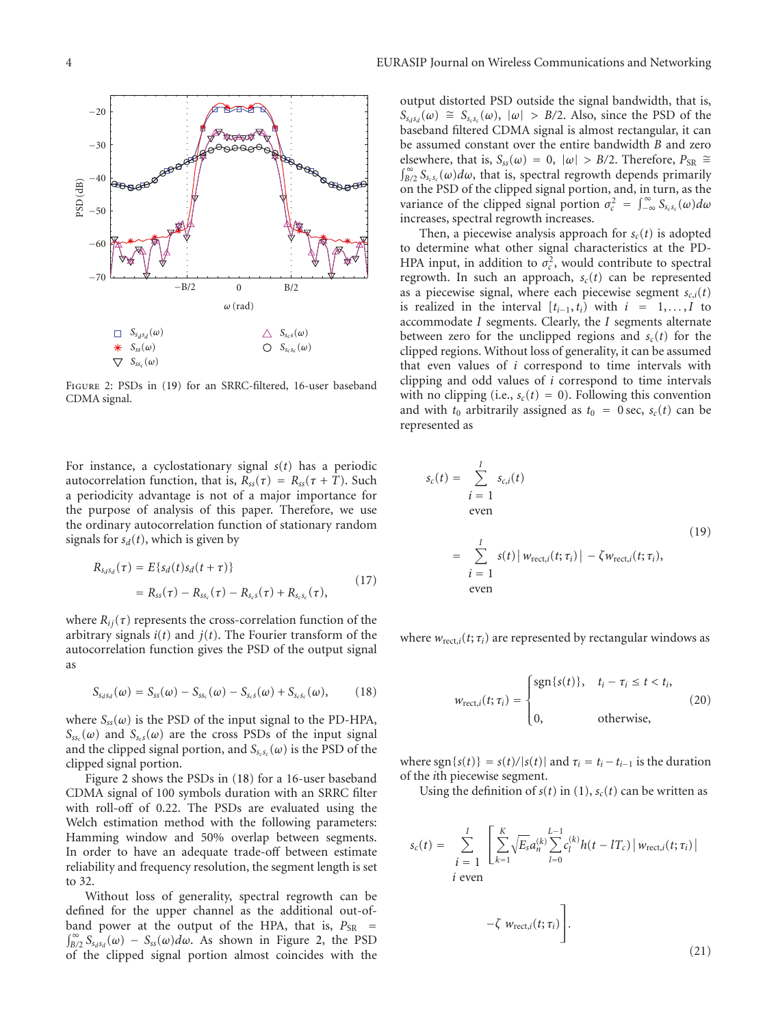

Figure 2: PSDs in (19) for an SRRC-filtered, 16-user baseband CDMA signal.

For instance, a cyclostationary signal *s*(*t*) has a periodic autocorrelation function, that is,  $R_{ss}(\tau) = R_{ss}(\tau + T)$ . Such a periodicity advantage is not of a major importance for the purpose of analysis of this paper. Therefore, we use the ordinary autocorrelation function of stationary random signals for  $s_d(t)$ , which is given by

$$
R_{s_d s_d}(\tau) = E\{s_d(t)s_d(t+\tau)\}\
$$
  
=  $R_{ss}(\tau) - R_{ss_c}(\tau) - R_{s_c s}(\tau) + R_{s_c s_c}(\tau),$  (17)

where  $R_{ij}(\tau)$  represents the cross-correlation function of the arbitrary signals *i*(*t*) and *j*(*t*). The Fourier transform of the autocorrelation function gives the PSD of the output signal as

$$
S_{s_d s_d}(\omega) = S_{ss}(\omega) - S_{ss_c}(\omega) - S_{s_c s}(\omega) + S_{s_c s_c}(\omega), \qquad (18)
$$

where  $S_{ss}(\omega)$  is the PSD of the input signal to the PD-HPA,  $S_{ssc}(\omega)$  and  $S_{sss}(\omega)$  are the cross PSDs of the input signal and the clipped signal portion, and  $S_{s_c s_c}(\omega)$  is the PSD of the clipped signal portion.

Figure 2 shows the PSDs in (18) for a 16-user baseband CDMA signal of 100 symbols duration with an SRRC filter with roll-off of 0.22. The PSDs are evaluated using the Welch estimation method with the following parameters: Hamming window and 50% overlap between segments. In order to have an adequate trade-off between estimate reliability and frequency resolution, the segment length is set to 32.

Without loss of generality, spectral regrowth can be defined for the upper channel as the additional out-ofband power at the output of the HPA, that is,  $P_{SR} = \int_{B/2}^{\infty} S_{s_d s_d}(\omega) - S_{ss}(\omega) d\omega$ . As shown in Figure 2, the PSD of the clipped signal portion almost coincides with the

output distorted PSD outside the signal bandwidth, that is,  $S_{s,s,d}(\omega) \cong S_{s,s}( \omega), |\omega| > B/2$ . Also, since the PSD of the baseband filtered CDMA signal is almost rectangular, it can be assumed constant over the entire bandwidth *B* and zero elsewhere, that is,  $S_{ss}(\omega) = 0$ ,  $|\omega| > B/2$ . Therefore,  $P_{SR} \cong$ elsewhere, that is,  $S_{ss}(\omega) = 0$ ,  $|\omega| > B/2$ . Therefore,  $P_{SR} \cong \int_{B/2}^{\infty} S_{s,s_c}(\omega) d\omega$ , that is, spectral regrowth depends primarily on the PSD of the clipped signal portion, and, in turn, as the variance of the clipped signal portion  $\sigma_c^2 = \int_{-\infty}^{\infty} S_{s_c s_c}(\omega) d\omega$ increases, spectral regrowth increases.

Then, a piecewise analysis approach for  $s_c(t)$  is adopted to determine what other signal characteristics at the PD-HPA input, in addition to  $\sigma_c^2$ , would contribute to spectral regrowth. In such an approach,  $s_c(t)$  can be represented as a piecewise signal, where each piecewise segment  $s_{c,i}(t)$ is realized in the interval  $[t_{i-1}, t_i)$  with  $i = 1, \ldots, I$  to accommodate *I* segments. Clearly, the *I* segments alternate between zero for the unclipped regions and  $s_c(t)$  for the clipped regions. Without loss of generality, it can be assumed that even values of *i* correspond to time intervals with clipping and odd values of *i* correspond to time intervals with no clipping (i.e.,  $s_c(t) = 0$ ). Following this convention and with  $t_0$  arbitrarily assigned as  $t_0 = 0$  sec,  $s_c(t)$  can be represented as

$$
s_c(t) = \sum_{i=1}^{I} s_{c,i}(t)
$$
  
\n
$$
= \sum_{i=1}^{I} s(t) |w_{\text{rect},i}(t; \tau_i)| - \zeta w_{\text{rect},i}(t; \tau_i),
$$
  
\n
$$
i = 1
$$
  
\neven (19)

where  $w_{\text{rect},i}(t; \tau_i)$  are represented by rectangular windows as

$$
w_{\text{rect},i}(t;\tau_i) = \begin{cases} \text{sgn}\{s(t)\}, & t_i - \tau_i \le t < t_i, \\ 0, & \text{otherwise,} \end{cases} \tag{20}
$$

where sgn ${s(t)} = s(t)/|s(t)|$  and  $\tau_i = t_i - t_{i-1}$  is the duration of the *i*th piecewise segment.

Using the definition of  $s(t)$  in (1),  $s_c(t)$  can be written as

$$
s_c(t) = \sum_{\substack{i=1 \ i \text{ even}}}^{I} \left[ \sum_{k=1}^{K} \sqrt{E_s} a_n^{(k)} \sum_{l=0}^{L-1} c_l^{(k)} h(t - lT_c) \, \middle| \, w_{\text{rect},i}(t; \tau_i) \right]
$$

$$
-\zeta w_{\text{rect},i}(t;\tau_i)\bigg].\tag{21}
$$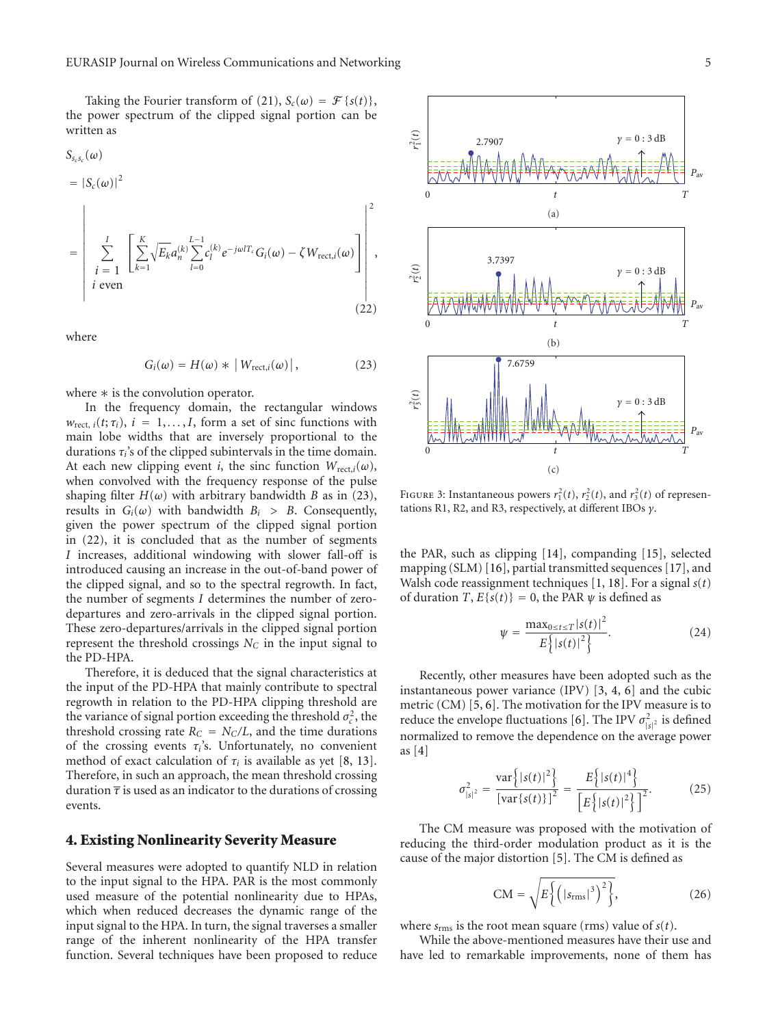Taking the Fourier transform of (21),  $S_c(\omega) = \mathcal{F}\{s(t)\},$ the power spectrum of the clipped signal portion can be written as

$$
S_{s_c s_c}(\omega)
$$

$$
= |S_c(\omega)|^2
$$
  
= 
$$
\left| \sum_{i=1}^I \left[ \sum_{k=1}^K \sqrt{E_k} a_n^{(k)} \sum_{l=0}^{L-1} c_l^{(k)} e^{-j\omega l T_c} G_i(\omega) - \zeta W_{\text{rect},i}(\omega) \right] \right|^2
$$
  
*i* even  
(22)

where

$$
G_i(\omega) = H(\omega) * |W_{\text{rect},i}(\omega)|,
$$
 (23)

where ∗ is the convolution operator.

In the frequency domain, the rectangular windows  $w_{\text{rect}, i}(t; \tau_i)$ ,  $i = 1, \ldots, I$ , form a set of sinc functions with main lobe widths that are inversely proportional to the durations  $\tau_i$ 's of the clipped subintervals in the time domain. At each new clipping event *i*, the sinc function  $W_{\text{rect},i}(\omega)$ , when convolved with the frequency response of the pulse shaping filter  $H(\omega)$  with arbitrary bandwidth *B* as in (23), results in  $G_i(\omega)$  with bandwidth  $B_i > B$ . Consequently, given the power spectrum of the clipped signal portion in (22), it is concluded that as the number of segments *I* increases, additional windowing with slower fall-off is introduced causing an increase in the out-of-band power of the clipped signal, and so to the spectral regrowth. In fact, the number of segments *I* determines the number of zerodepartures and zero-arrivals in the clipped signal portion. These zero-departures/arrivals in the clipped signal portion represent the threshold crossings  $N_c$  in the input signal to the PD-HPA.

Therefore, it is deduced that the signal characteristics at the input of the PD-HPA that mainly contribute to spectral regrowth in relation to the PD-HPA clipping threshold are the variance of signal portion exceeding the threshold  $\sigma_c^2$ , the threshold crossing rate  $R_C = N_C/L$ , and the time durations of the crossing events *τi*'s. Unfortunately, no convenient method of exact calculation of  $\tau_i$  is available as yet [8, 13]. Therefore, in such an approach, the mean threshold crossing duration *τ* is used as an indicator to the durations of crossing events.

# **4. Existing Nonlinearity Severity Measure**

Several measures were adopted to quantify NLD in relation to the input signal to the HPA. PAR is the most commonly used measure of the potential nonlinearity due to HPAs, which when reduced decreases the dynamic range of the input signal to the HPA. In turn, the signal traverses a smaller range of the inherent nonlinearity of the HPA transfer function. Several techniques have been proposed to reduce



FIGURE 3: Instantaneous powers  $r_1^2(t)$ ,  $r_2^2(t)$ , and  $r_3^2(t)$  of representations R1, R2, and R3, respectively, at different IBOs *γ*.

the PAR, such as clipping [14], companding [15], selected mapping (SLM) [16], partial transmitted sequences [17], and Walsh code reassignment techniques [1, 18]. For a signal *s*(*t*) of duration *T*,  $E{s(t)} = 0$ , the PAR  $\psi$  is defined as

$$
\psi = \frac{\max_{0 \le t \le T} |s(t)|^2}{E\left\{ |s(t)|^2 \right\}}.
$$
\n(24)

Recently, other measures have been adopted such as the instantaneous power variance (IPV) [3, 4, 6] and the cubic metric (CM) [5, 6]. The motivation for the IPV measure is to reduce the envelope fluctuations [6]. The IPV  $\sigma_{|s|^2}^2$  is defined normalized to remove the dependence on the average power as [4]

$$
\sigma_{|s|^2}^2 = \frac{\text{var}\left\{|s(t)|^2\right\}}{\left[\text{var}\{s(t)\}\right]^2} = \frac{E\left\{|s(t)|^4\right\}}{\left[E\left\{|s(t)|^2\right\}\right]^2}.
$$
 (25)

The CM measure was proposed with the motivation of reducing the third-order modulation product as it is the cause of the major distortion [5]. The CM is defined as

$$
CM = \sqrt{E\left\{ \left( |s_{\rm rms}|^3 \right)^2 \right\}},\tag{26}
$$

where *s*rms is the root mean square (rms) value of *s*(*t*).

While the above-mentioned measures have their use and have led to remarkable improvements, none of them has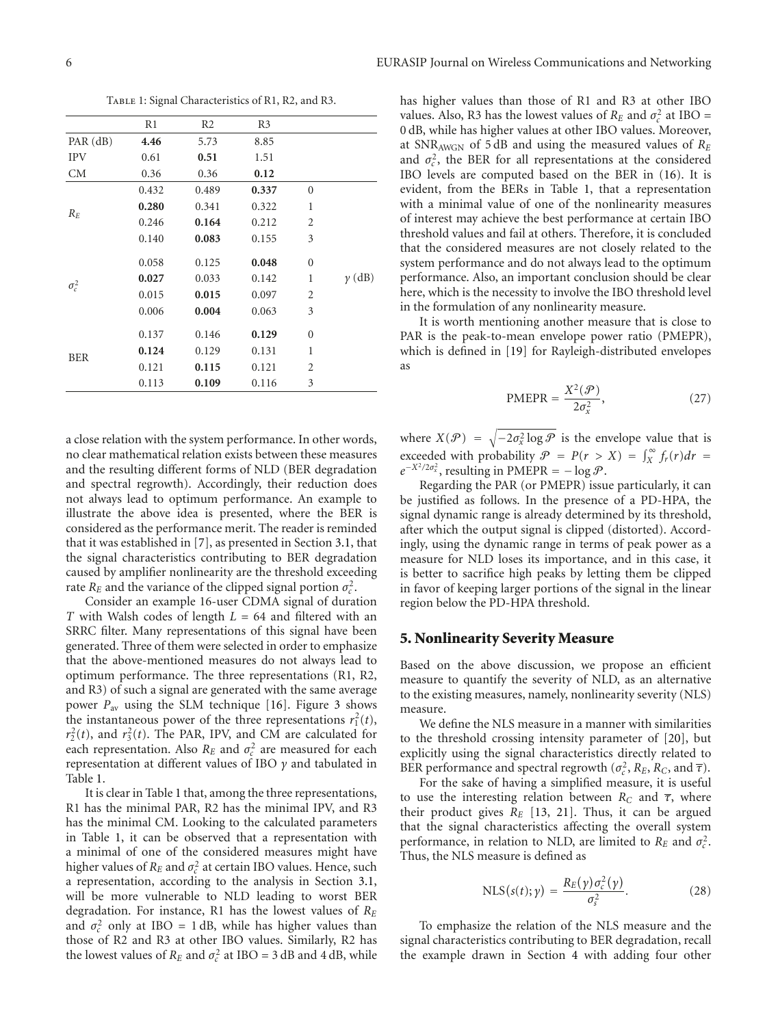Table 1: Signal Characteristics of R1, R2, and R3.

|                | R1    | R <sub>2</sub> | R <sub>3</sub> |                |               |
|----------------|-------|----------------|----------------|----------------|---------------|
| $PAR$ ( $dB$ ) | 4.46  | 5.73           | 8.85           |                |               |
| <b>IPV</b>     | 0.61  | 0.51           | 1.51           |                |               |
| <b>CM</b>      | 0.36  | 0.36           | 0.12           |                |               |
|                | 0.432 | 0.489          | 0.337          | $\mathbf{0}$   |               |
| $R_E$          | 0.280 | 0.341          | 0.322          | 1              |               |
|                | 0.246 | 0.164          | 0.212          | $\overline{2}$ |               |
|                | 0.140 | 0.083          | 0.155          | 3              |               |
|                | 0.058 | 0.125          | 0.048          | $\mathbf{0}$   |               |
|                | 0.027 | 0.033          | 0.142          | 1              | $\gamma$ (dB) |
| $\sigma_c^2$   | 0.015 | 0.015          | 0.097          | 2              |               |
|                | 0.006 | 0.004          | 0.063          | 3              |               |
|                | 0.137 | 0.146          | 0.129          | $\mathbf{0}$   |               |
| <b>BER</b>     | 0.124 | 0.129          | 0.131          | 1              |               |
|                | 0.121 | 0.115          | 0.121          | 2              |               |
|                | 0.113 | 0.109          | 0.116          | 3              |               |

a close relation with the system performance. In other words, no clear mathematical relation exists between these measures and the resulting different forms of NLD (BER degradation and spectral regrowth). Accordingly, their reduction does not always lead to optimum performance. An example to illustrate the above idea is presented, where the BER is considered as the performance merit. The reader is reminded that it was established in [7], as presented in Section 3.1, that the signal characteristics contributing to BER degradation caused by amplifier nonlinearity are the threshold exceeding rate  $R_E$  and the variance of the clipped signal portion  $\sigma_c^2$ .

Consider an example 16-user CDMA signal of duration *T* with Walsh codes of length *L* = 64 and filtered with an SRRC filter. Many representations of this signal have been generated. Three of them were selected in order to emphasize that the above-mentioned measures do not always lead to optimum performance. The three representations (R1, R2, and R3) of such a signal are generated with the same average power *P*av using the SLM technique [16]. Figure 3 shows the instantaneous power of the three representations  $r_1^2(t)$ ,  $r_2^2(t)$ , and  $r_3^2(t)$ . The PAR, IPV, and CM are calculated for each representation. Also  $R_E$  and  $\sigma_c^2$  are measured for each representation at different values of IBO *γ* and tabulated in Table 1.

It is clear in Table 1 that, among the three representations, R1 has the minimal PAR, R2 has the minimal IPV, and R3 has the minimal CM. Looking to the calculated parameters in Table 1, it can be observed that a representation with a minimal of one of the considered measures might have higher values of  $R_E$  and  $\sigma_c^2$  at certain IBO values. Hence, such a representation, according to the analysis in Section 3.1, will be more vulnerable to NLD leading to worst BER degradation. For instance, R1 has the lowest values of *RE* and  $\sigma_c^2$  only at IBO = 1 dB, while has higher values than those of R2 and R3 at other IBO values. Similarly, R2 has the lowest values of  $R_E$  and  $\sigma_c^2$  at IBO = 3 dB and 4 dB, while

has higher values than those of R1 and R3 at other IBO values. Also, R3 has the lowest values of  $R_E$  and  $\sigma_c^2$  at IBO = 0 dB, while has higher values at other IBO values. Moreover, at SNRAWGN of 5 dB and using the measured values of *RE* and  $\sigma_c^2$ , the BER for all representations at the considered IBO levels are computed based on the BER in (16). It is evident, from the BERs in Table 1, that a representation with a minimal value of one of the nonlinearity measures of interest may achieve the best performance at certain IBO threshold values and fail at others. Therefore, it is concluded that the considered measures are not closely related to the system performance and do not always lead to the optimum performance. Also, an important conclusion should be clear here, which is the necessity to involve the IBO threshold level in the formulation of any nonlinearity measure.

It is worth mentioning another measure that is close to PAR is the peak-to-mean envelope power ratio (PMEPR), which is defined in [19] for Rayleigh-distributed envelopes as

$$
PMEPR = \frac{X^2(\mathcal{P})}{2\sigma_x^2},\tag{27}
$$

where  $X(\mathcal{P}) = \sqrt{-2\sigma_x^2 \log \mathcal{P}}$  is the envelope value that is exceeded with probability  $\mathcal{P} = P(r > X) = \int_X^{\infty} f_r(r) dr =$  $e^{-X^2/2\sigma_x^2}$ , resulting in PMEPR = − log  $\mathcal{P}$ .

Regarding the PAR (or PMEPR) issue particularly, it can be justified as follows. In the presence of a PD-HPA, the signal dynamic range is already determined by its threshold, after which the output signal is clipped (distorted). Accordingly, using the dynamic range in terms of peak power as a measure for NLD loses its importance, and in this case, it is better to sacrifice high peaks by letting them be clipped in favor of keeping larger portions of the signal in the linear region below the PD-HPA threshold.

#### **5. Nonlinearity Severity Measure**

Based on the above discussion, we propose an efficient measure to quantify the severity of NLD, as an alternative to the existing measures, namely, nonlinearity severity (NLS) measure.

We define the NLS measure in a manner with similarities to the threshold crossing intensity parameter of [20], but explicitly using the signal characteristics directly related to BER performance and spectral regrowth  $(\sigma_c^2, R_E, R_C, \text{ and } \overline{\tau})$ .

For the sake of having a simplified measure, it is useful to use the interesting relation between *RC* and *τ*, where their product gives  $R_E$  [13, 21]. Thus, it can be argued that the signal characteristics affecting the overall system performance, in relation to NLD, are limited to  $R_E$  and  $\sigma_c^2$ . Thus, the NLS measure is defined as

$$
NLS(s(t); \gamma) = \frac{R_E(\gamma) \sigma_c^2(\gamma)}{\sigma_s^2}.
$$
 (28)

To emphasize the relation of the NLS measure and the signal characteristics contributing to BER degradation, recall the example drawn in Section 4 with adding four other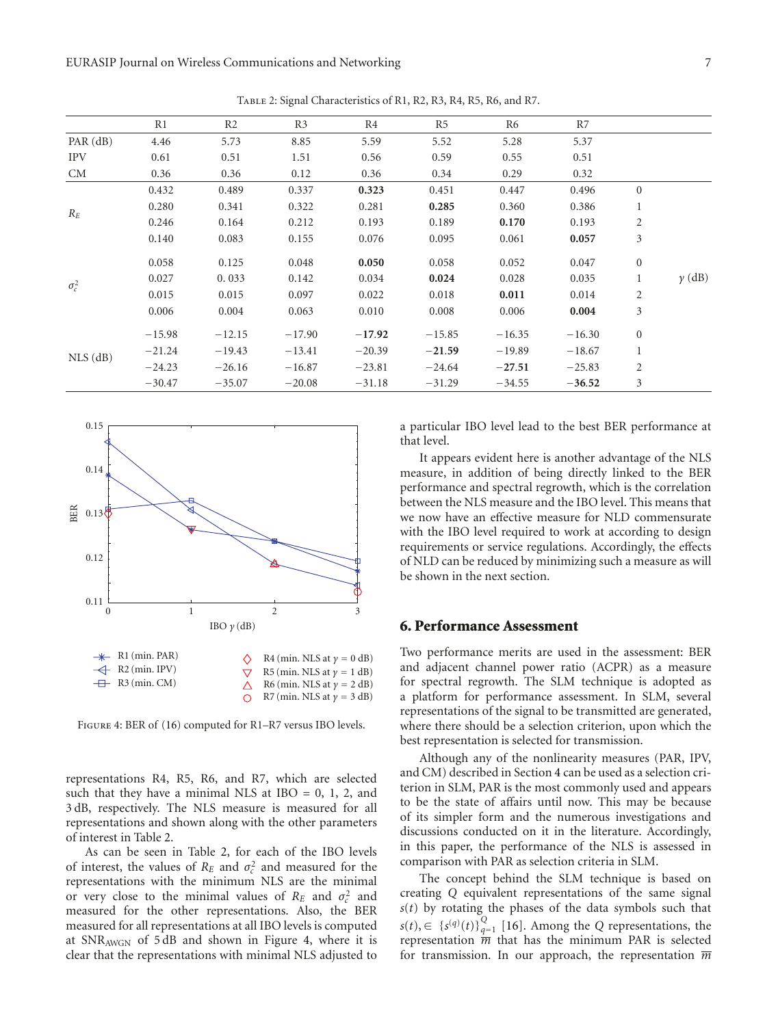Table 2: Signal Characteristics of R1, R2, R3, R4, R5, R6, and R7.

|              | R1       | R <sub>2</sub> | R <sub>3</sub> | R4       | R <sub>5</sub> | R <sub>6</sub> | R7       |                  |               |
|--------------|----------|----------------|----------------|----------|----------------|----------------|----------|------------------|---------------|
|              |          |                |                |          |                |                |          |                  |               |
| PAR $(dB)$   | 4.46     | 5.73           | 8.85           | 5.59     | 5.52           | 5.28           | 5.37     |                  |               |
| <b>IPV</b>   | 0.61     | 0.51           | 1.51           | 0.56     | 0.59           | 0.55           | 0.51     |                  |               |
| CM           | 0.36     | 0.36           | 0.12           | 0.36     | 0.34           | 0.29           | 0.32     |                  |               |
| $R_E$        | 0.432    | 0.489          | 0.337          | 0.323    | 0.451          | 0.447          | 0.496    | $\mathbf{0}$     |               |
|              | 0.280    | 0.341          | 0.322          | 0.281    | 0.285          | 0.360          | 0.386    | 1                |               |
|              | 0.246    | 0.164          | 0.212          | 0.193    | 0.189          | 0.170          | 0.193    | 2                |               |
|              | 0.140    | 0.083          | 0.155          | 0.076    | 0.095          | 0.061          | 0.057    | 3                |               |
| $\sigma_c^2$ | 0.058    | 0.125          | 0.048          | 0.050    | 0.058          | 0.052          | 0.047    | $\boldsymbol{0}$ |               |
|              | 0.027    | 0.033          | 0.142          | 0.034    | 0.024          | 0.028          | 0.035    | 1                | $\gamma$ (dB) |
|              | 0.015    | 0.015          | 0.097          | 0.022    | 0.018          | 0.011          | 0.014    | 2                |               |
|              | 0.006    | 0.004          | 0.063          | 0.010    | 0.008          | 0.006          | 0.004    | 3                |               |
| $NLS$ (dB)   | $-15.98$ | $-12.15$       | $-17.90$       | $-17.92$ | $-15.85$       | $-16.35$       | $-16.30$ | $\boldsymbol{0}$ |               |
|              | $-21.24$ | $-19.43$       | $-13.41$       | $-20.39$ | $-21.59$       | $-19.89$       | $-18.67$ | 1                |               |
|              | $-24.23$ | $-26.16$       | $-16.87$       | $-23.81$ | $-24.64$       | $-27.51$       | $-25.83$ | 2                |               |
|              | $-30.47$ | $-35.07$       | $-20.08$       | $-31.18$ | $-31.29$       | $-34.55$       | $-36.52$ | 3                |               |



Figure 4: BER of (16) computed for R1–R7 versus IBO levels.

representations R4, R5, R6, and R7, which are selected such that they have a minimal NLS at IBO  $= 0, 1, 2,$  and 3 dB, respectively. The NLS measure is measured for all representations and shown along with the other parameters of interest in Table 2.

As can be seen in Table 2, for each of the IBO levels of interest, the values of  $R_E$  and  $\sigma_c^2$  and measured for the representations with the minimum NLS are the minimal or very close to the minimal values of  $R_E$  and  $\sigma_c^2$  and measured for the other representations. Also, the BER measured for all representations at all IBO levels is computed at SNRAWGN of 5 dB and shown in Figure 4, where it is clear that the representations with minimal NLS adjusted to a particular IBO level lead to the best BER performance at that level.

It appears evident here is another advantage of the NLS measure, in addition of being directly linked to the BER performance and spectral regrowth, which is the correlation between the NLS measure and the IBO level. This means that we now have an effective measure for NLD commensurate with the IBO level required to work at according to design requirements or service regulations. Accordingly, the effects of NLD can be reduced by minimizing such a measure as will be shown in the next section.

# **6. Performance Assessment**

Two performance merits are used in the assessment: BER and adjacent channel power ratio (ACPR) as a measure for spectral regrowth. The SLM technique is adopted as a platform for performance assessment. In SLM, several representations of the signal to be transmitted are generated, where there should be a selection criterion, upon which the best representation is selected for transmission.

Although any of the nonlinearity measures (PAR, IPV, and CM) described in Section 4 can be used as a selection criterion in SLM, PAR is the most commonly used and appears to be the state of affairs until now. This may be because of its simpler form and the numerous investigations and discussions conducted on it in the literature. Accordingly, in this paper, the performance of the NLS is assessed in comparison with PAR as selection criteria in SLM.

The concept behind the SLM technique is based on creating *Q* equivalent representations of the same signal *s*(*t*) by rotating the phases of the data symbols such that  $s(t)$ ,  $\in$  { $s^{(q)}(t)$ } $_{q=1}^{Q}$  [16]. Among the *Q* representations, the representation  $\overline{m}$  that has the minimum PAR is selected for transmission. In our approach, the representation  $\overline{m}$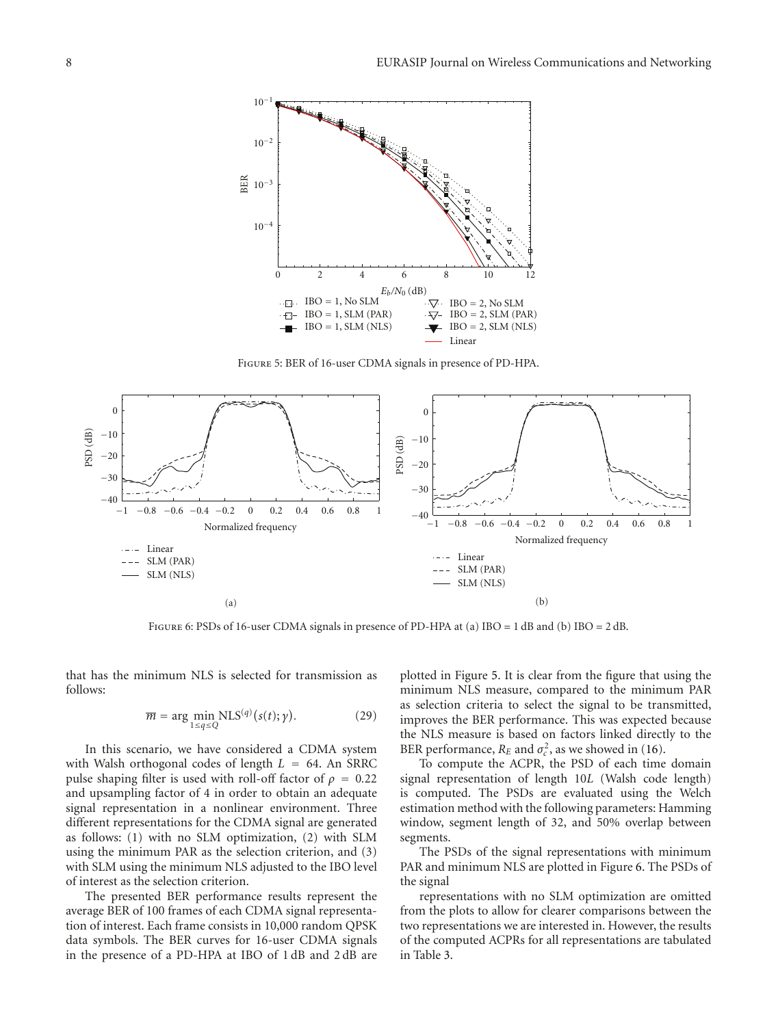

Figure 5: BER of 16-user CDMA signals in presence of PD-HPA.



Figure 6: PSDs of 16-user CDMA signals in presence of PD-HPA at (a) IBO = 1 dB and (b) IBO = 2 dB.

that has the minimum NLS is selected for transmission as follows:

$$
\overline{m} = \arg\min_{1 \le q \le Q} \text{NLS}^{(q)}(s(t); \gamma).
$$
 (29)

In this scenario, we have considered a CDMA system with Walsh orthogonal codes of length *<sup>L</sup>* <sup>=</sup> 64. An SRRC pulse shaping filter is used with roll-off factor of  $\rho = 0.22$ and upsampling factor of 4 in order to obtain an adequate signal representation in a nonlinear environment. Three different representations for the CDMA signal are generated as follows: (1) with no SLM optimization, (2) with SLM using the minimum PAR as the selection criterion, and (3) with SLM using the minimum NLS adjusted to the IBO level of interest as the selection criterion.

The presented BER performance results represent the average BER of 100 frames of each CDMA signal representation of interest. Each frame consists in 10,000 random QPSK data symbols. The BER curves for 16-user CDMA signals in the presence of a PD-HPA at IBO of 1 dB and 2 dB are

plotted in Figure 5. It is clear from the figure that using the minimum NLS measure, compared to the minimum PAR as selection criteria to select the signal to be transmitted, improves the BER performance. This was expected because the NLS measure is based on factors linked directly to the BER performance,  $R_E$  and  $\sigma_c^2$ , as we showed in (16).

To compute the ACPR, the PSD of each time domain signal representation of length 10*L* (Walsh code length) is computed. The PSDs are evaluated using the Welch estimation method with the following parameters: Hamming window, segment length of 32, and 50% overlap between segments.

The PSDs of the signal representations with minimum PAR and minimum NLS are plotted in Figure 6. The PSDs of the signal

representations with no SLM optimization are omitted from the plots to allow for clearer comparisons between the two representations we are interested in. However, the results of the computed ACPRs for all representations are tabulated in Table 3.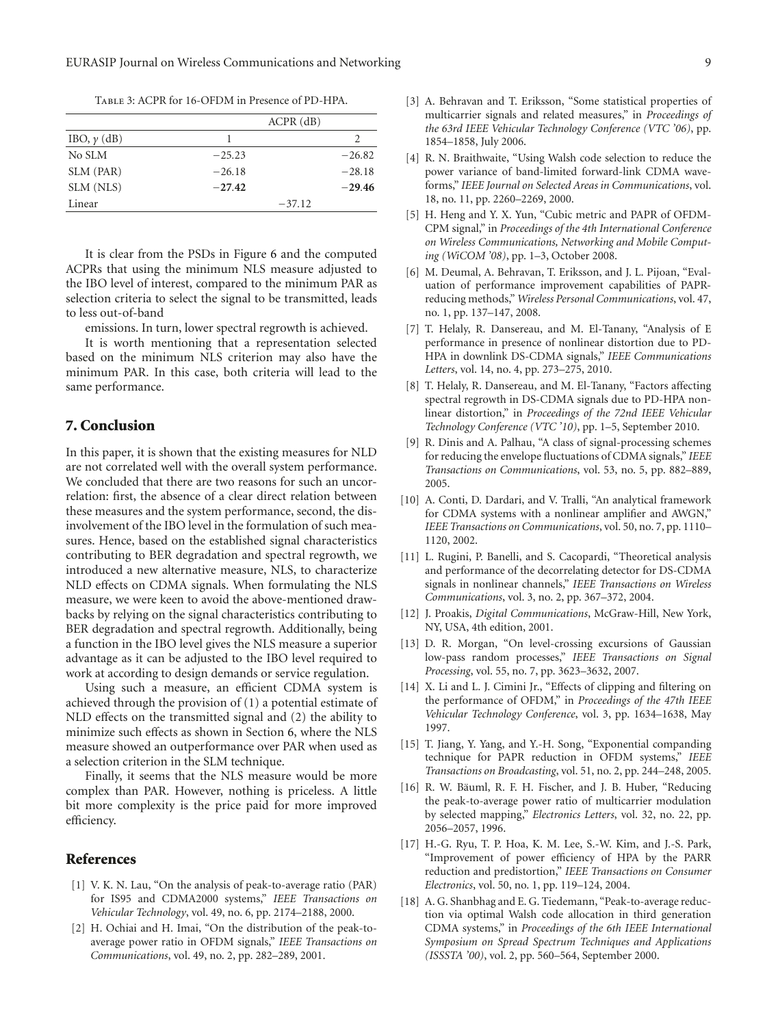Table 3: ACPR for 16-OFDM in Presence of PD-HPA.

|                    | $ACPR$ (dB) |          |  |  |
|--------------------|-------------|----------|--|--|
| IBO, $\gamma$ (dB) |             | 2        |  |  |
| No SLM             | $-25.23$    | $-26.82$ |  |  |
| SLM (PAR)          | $-26.18$    | $-28.18$ |  |  |
| SLM (NLS)          | $-27.42$    | $-29.46$ |  |  |
| Linear             | $-37.12$    |          |  |  |

It is clear from the PSDs in Figure 6 and the computed ACPRs that using the minimum NLS measure adjusted to the IBO level of interest, compared to the minimum PAR as selection criteria to select the signal to be transmitted, leads to less out-of-band

emissions. In turn, lower spectral regrowth is achieved.

It is worth mentioning that a representation selected based on the minimum NLS criterion may also have the minimum PAR. In this case, both criteria will lead to the same performance.

# **7. Conclusion**

In this paper, it is shown that the existing measures for NLD are not correlated well with the overall system performance. We concluded that there are two reasons for such an uncorrelation: first, the absence of a clear direct relation between these measures and the system performance, second, the disinvolvement of the IBO level in the formulation of such measures. Hence, based on the established signal characteristics contributing to BER degradation and spectral regrowth, we introduced a new alternative measure, NLS, to characterize NLD effects on CDMA signals. When formulating the NLS measure, we were keen to avoid the above-mentioned drawbacks by relying on the signal characteristics contributing to BER degradation and spectral regrowth. Additionally, being a function in the IBO level gives the NLS measure a superior advantage as it can be adjusted to the IBO level required to work at according to design demands or service regulation.

Using such a measure, an efficient CDMA system is achieved through the provision of (1) a potential estimate of NLD effects on the transmitted signal and (2) the ability to minimize such effects as shown in Section 6, where the NLS measure showed an outperformance over PAR when used as a selection criterion in the SLM technique.

Finally, it seems that the NLS measure would be more complex than PAR. However, nothing is priceless. A little bit more complexity is the price paid for more improved efficiency.

# **References**

- [1] V. K. N. Lau, "On the analysis of peak-to-average ratio (PAR) for IS95 and CDMA2000 systems," *IEEE Transactions on Vehicular Technology*, vol. 49, no. 6, pp. 2174–2188, 2000.
- [2] H. Ochiai and H. Imai, "On the distribution of the peak-toaverage power ratio in OFDM signals," *IEEE Transactions on Communications*, vol. 49, no. 2, pp. 282–289, 2001.
- [3] A. Behravan and T. Eriksson, "Some statistical properties of multicarrier signals and related measures," in *Proceedings of the 63rd IEEE Vehicular Technology Conference (VTC '06)*, pp. 1854–1858, July 2006.
- [4] R. N. Braithwaite, "Using Walsh code selection to reduce the power variance of band-limited forward-link CDMA waveforms," *IEEE Journal on Selected Areas in Communications*, vol. 18, no. 11, pp. 2260–2269, 2000.
- [5] H. Heng and Y. X. Yun, "Cubic metric and PAPR of OFDM-CPM signal," in *Proceedings of the 4th International Conference on Wireless Communications, Networking and Mobile Computing (WiCOM '08)*, pp. 1–3, October 2008.
- [6] M. Deumal, A. Behravan, T. Eriksson, and J. L. Pijoan, "Evaluation of performance improvement capabilities of PAPRreducing methods," *Wireless Personal Communications*, vol. 47, no. 1, pp. 137–147, 2008.
- [7] T. Helaly, R. Dansereau, and M. El-Tanany, "Analysis of E performance in presence of nonlinear distortion due to PD-HPA in downlink DS-CDMA signals," *IEEE Communications Letters*, vol. 14, no. 4, pp. 273–275, 2010.
- [8] T. Helaly, R. Dansereau, and M. El-Tanany, "Factors affecting spectral regrowth in DS-CDMA signals due to PD-HPA nonlinear distortion," in *Proceedings of the 72nd IEEE Vehicular Technology Conference (VTC '10)*, pp. 1–5, September 2010.
- [9] R. Dinis and A. Palhau, "A class of signal-processing schemes for reducing the envelope fluctuations of CDMA signals," *IEEE Transactions on Communications*, vol. 53, no. 5, pp. 882–889, 2005.
- [10] A. Conti, D. Dardari, and V. Tralli, "An analytical framework for CDMA systems with a nonlinear amplifier and AWGN," *IEEE Transactions on Communications*, vol. 50, no. 7, pp. 1110– 1120, 2002.
- [11] L. Rugini, P. Banelli, and S. Cacopardi, "Theoretical analysis and performance of the decorrelating detector for DS-CDMA signals in nonlinear channels," *IEEE Transactions on Wireless Communications*, vol. 3, no. 2, pp. 367–372, 2004.
- [12] J. Proakis, *Digital Communications*, McGraw-Hill, New York, NY, USA, 4th edition, 2001.
- [13] D. R. Morgan, "On level-crossing excursions of Gaussian low-pass random processes," *IEEE Transactions on Signal Processing*, vol. 55, no. 7, pp. 3623–3632, 2007.
- [14] X. Li and L. J. Cimini Jr., "Effects of clipping and filtering on the performance of OFDM," in *Proceedings of the 47th IEEE Vehicular Technology Conference*, vol. 3, pp. 1634–1638, May 1997.
- [15] T. Jiang, Y. Yang, and Y.-H. Song, "Exponential companding technique for PAPR reduction in OFDM systems," *IEEE Transactions on Broadcasting*, vol. 51, no. 2, pp. 244–248, 2005.
- [16] R. W. Bäuml, R. F. H. Fischer, and J. B. Huber, "Reducing the peak-to-average power ratio of multicarrier modulation by selected mapping," *Electronics Letters*, vol. 32, no. 22, pp. 2056–2057, 1996.
- [17] H.-G. Ryu, T. P. Hoa, K. M. Lee, S.-W. Kim, and J.-S. Park, "Improvement of power efficiency of HPA by the PARR reduction and predistortion," *IEEE Transactions on Consumer Electronics*, vol. 50, no. 1, pp. 119–124, 2004.
- [18] A. G. Shanbhag and E. G. Tiedemann, "Peak-to-average reduction via optimal Walsh code allocation in third generation CDMA systems," in *Proceedings of the 6th IEEE International Symposium on Spread Spectrum Techniques and Applications (ISSSTA '00)*, vol. 2, pp. 560–564, September 2000.